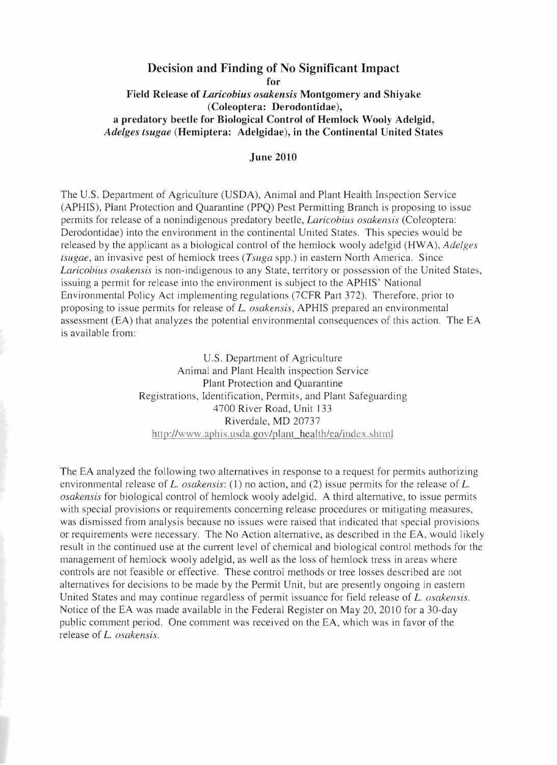## **Decision and Finding of No Significant Impact for Field Release of** *Laricobius osakensis* **Montgomery and Shiyake (Coleoptera: Derodontidae), a predatory beetle for Biological Control of Hemlock Wooly Adelgid,** *Adelges tsugae* **(Hemiptera: Adelgidae), in the Continental United States**

## **June 2010**

The U.S . Department of Agriculture (USDA), Animal and Plant Health Inspection Service (APHIS), Plant Protection and Quarantine (PPQ) Pest Permitting Branch is proposing to issue permits for release of a nonindigenous predatory beetle, *Laricobius osakensis* (Coleoptera: Derodontidae) into the environment in the continental United States. This species would be released by the applicant as a biological control of the hemlock wooly adelgid (HWA), *Adelges tSligae,* an invasive pest of hemlock trees *(Tsuga* spp.) in eastern North America. Since *Laricohius osakensis* is non-indigenous to any State, territory or possession of the United States, issuing a permit for release into the environment is subject to the APHIS' National Environmental Policy Act implementing regulations (7CFR Part 372). Therefore, prior to proposing to issue permits for release of *L. osakensis,* APHIS prepared an environmental assessment (EA) that analyzes the potential environmental consequences of this action. The EA is available from:

> U.S. Department of Agriculture Animal and Plant Health inspection Service Plant Protection and Quarantine Registrations, Identification, Permits, and Plant Safeguarding 4700 River Road, Unit 133 Riverdale, MD 20737 http://www.aphis.usda.gov/plant health/ea/index.shtml

The EA analyzed the following two alternatives in response to a request for permits authorizing environmental release of *L. osakensis:* (1) no action, and (2) issue permits for the release of *L. osakensis* for biological control of hemlock wooly adelgid. A third alternative, to issue permits with special provisions or requirements concerning release procedures or mitigating measures, was dismissed from analysis because no issues were raised that indicated that special provisions or requirements were necessary. The No Action alternative, as described in the EA, would likely result in the continued use at the current level of chemical and biological control methods for the management of hemlock wooly adelgid, as well as the loss of hemlock tress in areas where controls are not feasible or effective. These control methods or tree losses described are not alternatives for decisions to be made by the Permit Unit, but are presently ongoing in eastern United States and may continue regardless of permit issuance for field release of *L. osakensis.*  Notice of the EA was made available in the Federal Register on May 20, 2010 for a 30-day public comment period. One comment was received on the EA, which was in favor of the release of *L. osakensis.*